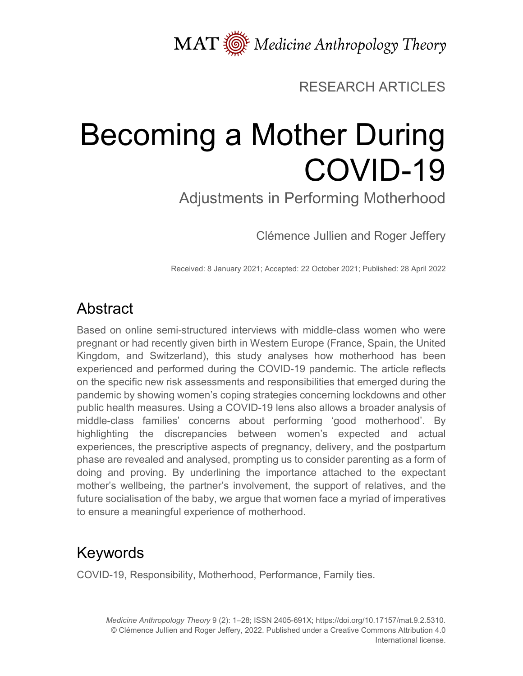MAT  $\overline{\text{W}}$  Medicine Anthropology Theory

## RESEARCH ARTICLES

# Becoming a Mother During COVID-19

Adjustments in Performing Motherhood

Clémence Jullien and Roger Jeffery

Received: 8 January 2021; Accepted: 22 October 2021; Published: 28 April 2022

# **Abstract**

Based on online semi-structured interviews with middle-class women who were pregnant or had recently given birth in Western Europe (France, Spain, the United Kingdom, and Switzerland), this study analyses how motherhood has been experienced and performed during the COVID-19 pandemic. The article reflects on the specific new risk assessments and responsibilities that emerged during the pandemic by showing women's coping strategies concerning lockdowns and other public health measures. Using a COVID-19 lens also allows a broader analysis of middle-class families' concerns about performing 'good motherhood'. By highlighting the discrepancies between women's expected and actual experiences, the prescriptive aspects of pregnancy, delivery, and the postpartum phase are revealed and analysed, prompting us to consider parenting as a form of doing and proving. By underlining the importance attached to the expectant mother's wellbeing, the partner's involvement, the support of relatives, and the future socialisation of the baby, we argue that women face a myriad of imperatives to ensure a meaningful experience of motherhood.

## Keywords

COVID-19, Responsibility, Motherhood, Performance, Family ties.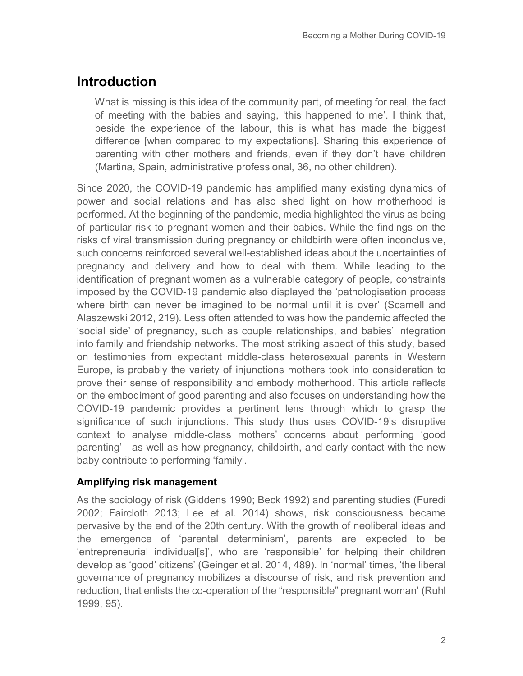#### **Introduction**

What is missing is this idea of the community part, of meeting for real, the fact of meeting with the babies and saying, 'this happened to me'. I think that, beside the experience of the labour, this is what has made the biggest difference [when compared to my expectations]. Sharing this experience of parenting with other mothers and friends, even if they don't have children (Martina, Spain, administrative professional, 36, no other children).

Since 2020, the COVID-19 pandemic has amplified many existing dynamics of power and social relations and has also shed light on how motherhood is performed. At the beginning of the pandemic, media highlighted the virus as being of particular risk to pregnant women and their babies. While the findings on the risks of viral transmission during pregnancy or childbirth were often inconclusive, such concerns reinforced several well-established ideas about the uncertainties of pregnancy and delivery and how to deal with them. While leading to the identification of pregnant women as a vulnerable category of people, constraints imposed by the COVID-19 pandemic also displayed the 'pathologisation process where birth can never be imagined to be normal until it is over' (Scamell and Alaszewski 2012, 219). Less often attended to was how the pandemic affected the 'social side' of pregnancy, such as couple relationships, and babies' integration into family and friendship networks. The most striking aspect of this study, based on testimonies from expectant middle-class heterosexual parents in Western Europe, is probably the variety of injunctions mothers took into consideration to prove their sense of responsibility and embody motherhood. This article reflects on the embodiment of good parenting and also focuses on understanding how the COVID-19 pandemic provides a pertinent lens through which to grasp the significance of such injunctions. This study thus uses COVID-19's disruptive context to analyse middle-class mothers' concerns about performing 'good parenting'—as well as how pregnancy, childbirth, and early contact with the new baby contribute to performing 'family'.

#### **Amplifying risk management**

As the sociology of risk (Giddens 1990; Beck 1992) and parenting studies (Furedi 2002; Faircloth 2013; Lee et al. 2014) shows, risk consciousness became pervasive by the end of the 20th century. With the growth of neoliberal ideas and the emergence of 'parental determinism', parents are expected to be 'entrepreneurial individual[s]', who are 'responsible' for helping their children develop as 'good' citizens' (Geinger et al. 2014, 489). In 'normal' times, 'the liberal governance of pregnancy mobilizes a discourse of risk, and risk prevention and reduction, that enlists the co-operation of the "responsible" pregnant woman' (Ruhl 1999, 95).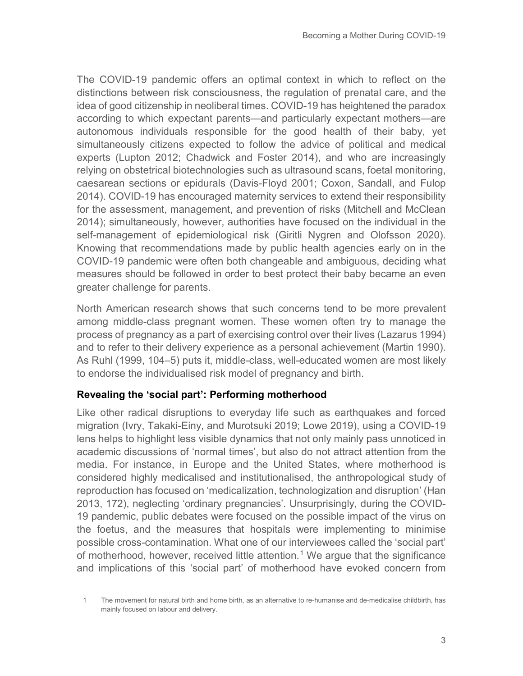The COVID-19 pandemic offers an optimal context in which to reflect on the distinctions between risk consciousness, the regulation of prenatal care, and the idea of good citizenship in neoliberal times. COVID-19 has heightened the paradox according to which expectant parents—and particularly expectant mothers—are autonomous individuals responsible for the good health of their baby, yet simultaneously citizens expected to follow the advice of political and medical experts (Lupton 2012; Chadwick and Foster 2014), and who are increasingly relying on obstetrical biotechnologies such as ultrasound scans, foetal monitoring, caesarean sections or epidurals (Davis-Floyd 2001; Coxon, Sandall, and Fulop 2014). COVID-19 has encouraged maternity services to extend their responsibility for the assessment, management, and prevention of risks (Mitchell and McClean 2014); simultaneously, however, authorities have focused on the individual in the self-management of epidemiological risk (Giritli Nygren and Olofsson 2020). Knowing that recommendations made by public health agencies early on in the COVID-19 pandemic were often both changeable and ambiguous, deciding what measures should be followed in order to best protect their baby became an even greater challenge for parents.

North American research shows that such concerns tend to be more prevalent among middle-class pregnant women. These women often try to manage the process of pregnancy as a part of exercising control over their lives (Lazarus 1994) and to refer to their delivery experience as a personal achievement (Martin 1990). As Ruhl (1999, 104–5) puts it, middle-class, well-educated women are most likely to endorse the individualised risk model of pregnancy and birth.

#### **Revealing the 'social part': Performing motherhood**

Like other radical disruptions to everyday life such as earthquakes and forced migration (Ivry, Takaki-Einy, and Murotsuki 2019; Lowe 2019), using a COVID-19 lens helps to highlight less visible dynamics that not only mainly pass unnoticed in academic discussions of 'normal times', but also do not attract attention from the media. For instance, in Europe and the United States, where motherhood is considered highly medicalised and institutionalised, the anthropological study of reproduction has focused on 'medicalization, technologization and disruption' (Han 2013, 172), neglecting 'ordinary pregnancies'. Unsurprisingly, during the COVID-19 pandemic, public debates were focused on the possible impact of the virus on the foetus, and the measures that hospitals were implementing to minimise possible cross-contamination. What one of our interviewees called the 'social part' of motherhood, however, received little attention.<sup>[1](#page-2-0)</sup> We argue that the significance and implications of this 'social part' of motherhood have evoked concern from

<span id="page-2-0"></span><sup>1</sup> The movement for natural birth and home birth, as an alternative to re-humanise and de-medicalise childbirth, has mainly focused on labour and delivery.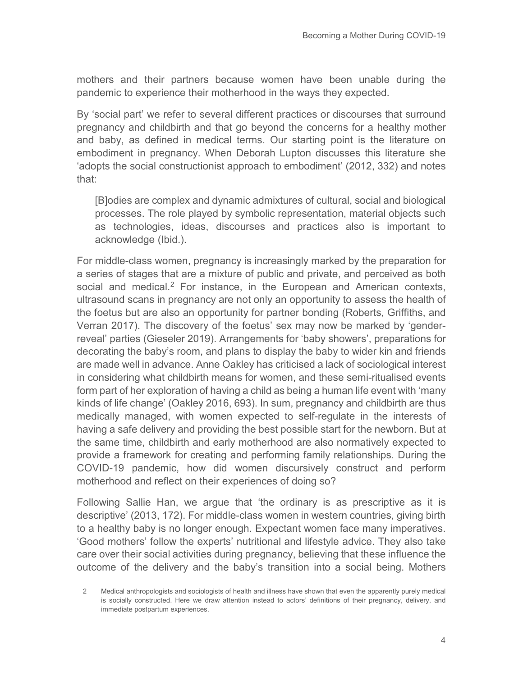mothers and their partners because women have been unable during the pandemic to experience their motherhood in the ways they expected.

By 'social part' we refer to several different practices or discourses that surround pregnancy and childbirth and that go beyond the concerns for a healthy mother and baby, as defined in medical terms. Our starting point is the literature on embodiment in pregnancy. When Deborah Lupton discusses this literature she 'adopts the social constructionist approach to embodiment' (2012, 332) and notes that:

[B]odies are complex and dynamic admixtures of cultural, social and biological processes. The role played by symbolic representation, material objects such as technologies, ideas, discourses and practices also is important to acknowledge (Ibid.).

For middle-class women, pregnancy is increasingly marked by the preparation for a series of stages that are a mixture of public and private, and perceived as both social and medical.<sup>[2](#page-3-0)</sup> For instance, in the European and American contexts, ultrasound scans in pregnancy are not only an opportunity to assess the health of the foetus but are also an opportunity for partner bonding (Roberts, Griffiths, and Verran 2017). The discovery of the foetus' sex may now be marked by 'genderreveal' parties (Gieseler 2019). Arrangements for 'baby showers', preparations for decorating the baby's room, and plans to display the baby to wider kin and friends are made well in advance. Anne Oakley has criticised a lack of sociological interest in considering what childbirth means for women, and these semi-ritualised events form part of her exploration of having a child as being a human life event with 'many kinds of life change' (Oakley 2016, 693). In sum, pregnancy and childbirth are thus medically managed, with women expected to self-regulate in the interests of having a safe delivery and providing the best possible start for the newborn. But at the same time, childbirth and early motherhood are also normatively expected to provide a framework for creating and performing family relationships. During the COVID-19 pandemic, how did women discursively construct and perform motherhood and reflect on their experiences of doing so?

Following Sallie Han, we argue that 'the ordinary is as prescriptive as it is descriptive' (2013, 172). For middle-class women in western countries, giving birth to a healthy baby is no longer enough. Expectant women face many imperatives. 'Good mothers' follow the experts' nutritional and lifestyle advice. They also take care over their social activities during pregnancy, believing that these influence the outcome of the delivery and the baby's transition into a social being. Mothers

<span id="page-3-0"></span><sup>2</sup> Medical anthropologists and sociologists of health and illness have shown that even the apparently purely medical is socially constructed. Here we draw attention instead to actors' definitions of their pregnancy, delivery, and immediate postpartum experiences.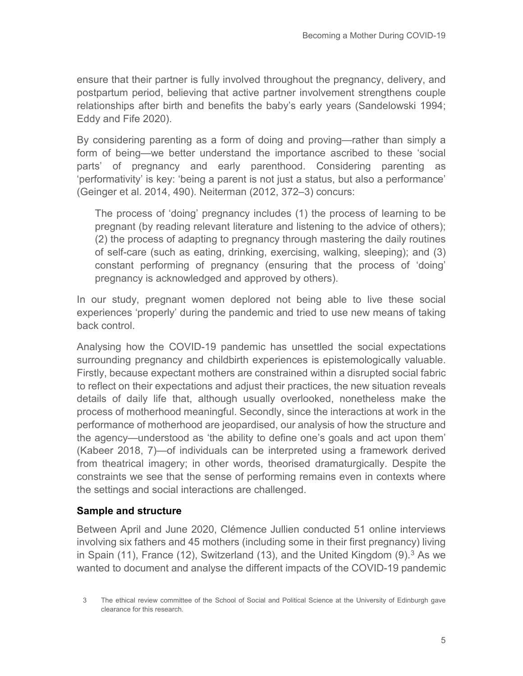ensure that their partner is fully involved throughout the pregnancy, delivery, and postpartum period, believing that active partner involvement strengthens couple relationships after birth and benefits the baby's early years (Sandelowski 1994; Eddy and Fife 2020).

By considering parenting as a form of doing and proving—rather than simply a form of being—we better understand the importance ascribed to these 'social parts' of pregnancy and early parenthood. Considering parenting as 'performativity' is key: 'being a parent is not just a status, but also a performance' (Geinger et al. 2014, 490). Neiterman (2012, 372–3) concurs:

The process of 'doing' pregnancy includes (1) the process of learning to be pregnant (by reading relevant literature and listening to the advice of others); (2) the process of adapting to pregnancy through mastering the daily routines of self-care (such as eating, drinking, exercising, walking, sleeping); and (3) constant performing of pregnancy (ensuring that the process of 'doing' pregnancy is acknowledged and approved by others).

In our study, pregnant women deplored not being able to live these social experiences 'properly' during the pandemic and tried to use new means of taking back control.

Analysing how the COVID-19 pandemic has unsettled the social expectations surrounding pregnancy and childbirth experiences is epistemologically valuable. Firstly, because expectant mothers are constrained within a disrupted social fabric to reflect on their expectations and adjust their practices, the new situation reveals details of daily life that, although usually overlooked, nonetheless make the process of motherhood meaningful. Secondly, since the interactions at work in the performance of motherhood are jeopardised, our analysis of how the structure and the agency—understood as 'the ability to define one's goals and act upon them' (Kabeer 2018, 7)—of individuals can be interpreted using a framework derived from theatrical imagery; in other words, theorised dramaturgically. Despite the constraints we see that the sense of performing remains even in contexts where the settings and social interactions are challenged.

#### **Sample and structure**

Between April and June 2020, Clémence Jullien conducted 51 online interviews involving six fathers and 45 mothers (including some in their first pregnancy) living in Spain (11), France (12), Switzerland (1[3](#page-4-0)), and the United Kingdom  $(9)$ .<sup>3</sup> As we wanted to document and analyse the different impacts of the COVID-19 pandemic

<span id="page-4-0"></span><sup>3</sup> The ethical review committee of the School of Social and Political Science at the University of Edinburgh gave clearance for this research.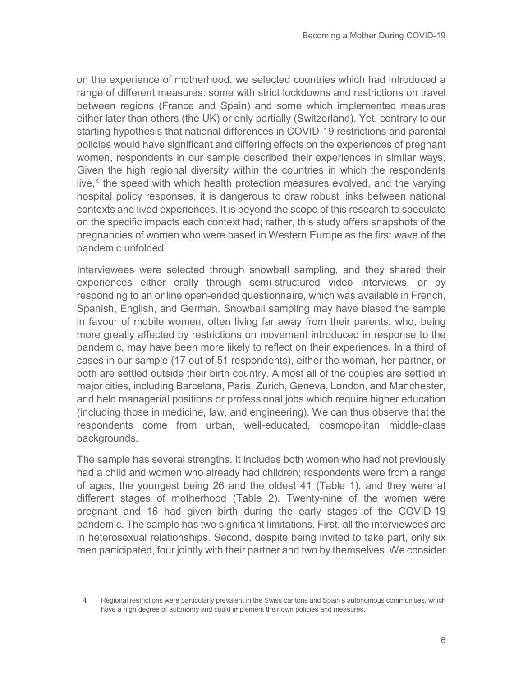on the experience of motherhood, we selected countries which had introduced a range of different measures: some with strict lockdowns and restrictions on travel between regions (France and Spain) and some which implemented measures either later than others (the UK) or only partially (Switzerland). Yet, contrary to our starting hypothesis that national differences in COVID-19 restrictions and parental policies would have significant and differing effects on the experiences of pregnant women, respondents in our sample described their experiences in similar ways. Given the high regional diversity within the countries in which the respondents live,  $4$  the speed with which health protection measures evolved, and the varying hospital policy responses, it is dangerous to draw robust links between national contexts and lived experiences. It is beyond the scope of this research to speculate on the specific impacts each context had; rather, this study offers snapshots of the pregnancies of women who were based in Western Europe as the first wave of the pandemic unfolded.

Interviewees were selected through snowball sampling, and they shared their experiences either orally through semi-structured video interviews, or by responding to an online open-ended questionnaire, which was available in French, Spanish, English, and German. Snowball sampling may have biased the sample in favour of mobile women, often living far away from their parents, who, being more greatly affected by restrictions on movement introduced in response to the pandemic, may have been more likely to reflect on their experiences. In a third of cases in our sample (17 out of 51 respondents), either the woman, her partner, or both are settled outside their birth country. Almost all of the couples are settled in major cities, including Barcelona, Paris, Zurich, Geneva, London, and Manchester, and held managerial positions or professional jobs which require higher education (including those in medicine, law, and engineering). We can thus observe that the respondents come from urban, well-educated, cosmopolitan middle-class backgrounds.

The sample has several strengths. It includes both women who had not previously had a child and women who already had children; respondents were from a range of ages, the youngest being 26 and the oldest 41 (Table 1), and they were at different stages of motherhood (Table 2). Twenty-nine of the women were pregnant and 16 had given birth during the early stages of the COVID-19 pandemic. The sample has two significant limitations. First, all the interviewees are in heterosexual relationships. Second, despite being invited to take part, only six men participated, four jointly with their partner and two by themselves. We consider

<span id="page-5-0"></span><sup>4</sup> Regional restrictions were particularly prevalent in the Swiss cantons and Spain's autonomous communities, which have a high degree of autonomy and could implement their own policies and measures.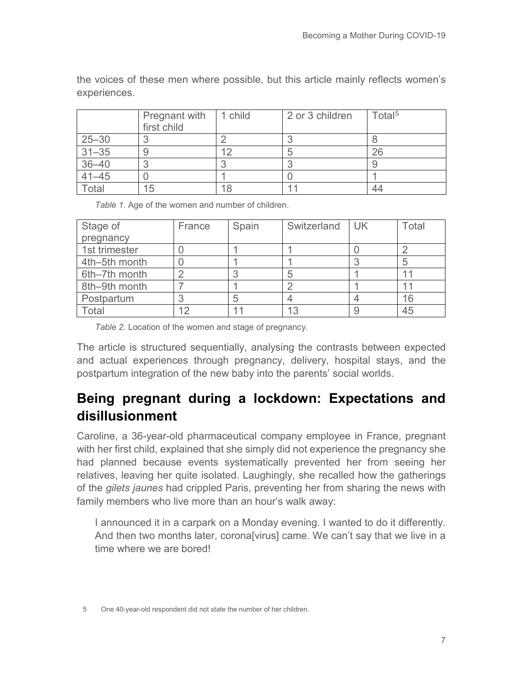|           | Pregnant with<br>first child | 1 child | 2 or 3 children | Total $5$ |
|-----------|------------------------------|---------|-----------------|-----------|
| $25 - 30$ |                              |         |                 |           |
| $31 - 35$ |                              | 1 ຕ     |                 |           |
| $36 - 40$ |                              |         |                 |           |
| $41 - 45$ |                              |         |                 |           |
| Total     | 15                           |         |                 |           |

the voices of these men where possible, but this article mainly reflects women's experiences.

*Table 1*. Age of the women and number of children.

| Stage of      | France | Spain | Switzerland UK | Total |
|---------------|--------|-------|----------------|-------|
| pregnancy     |        |       |                |       |
| 1st trimester |        |       |                |       |
| 4th-5th month |        |       |                | 5     |
| 6th-7th month |        |       |                |       |
| 8th-9th month |        |       |                |       |
| Postpartum    |        |       |                |       |
| Total         | 1つ     |       | 13             | 45    |

*Table 2*. Location of the women and stage of pregnancy.

The article is structured sequentially, analysing the contrasts between expected and actual experiences through pregnancy, delivery, hospital stays, and the postpartum integration of the new baby into the parents' social worlds.

#### **Being pregnant during a lockdown: Expectations and disillusionment**

Caroline, a 36-year-old pharmaceutical company employee in France, pregnant with her first child, explained that she simply did not experience the pregnancy she had planned because events systematically prevented her from seeing her relatives, leaving her quite isolated. Laughingly, she recalled how the gatherings of the *gilets jaunes* had crippled Paris, preventing her from sharing the news with family members who live more than an hour's walk away:

I announced it in a carpark on a Monday evening. I wanted to do it differently. And then two months later, corona[virus] came. We can't say that we live in a time where we are bored!

<span id="page-6-0"></span><sup>5</sup> One 40-year-old respondent did not state the number of her children.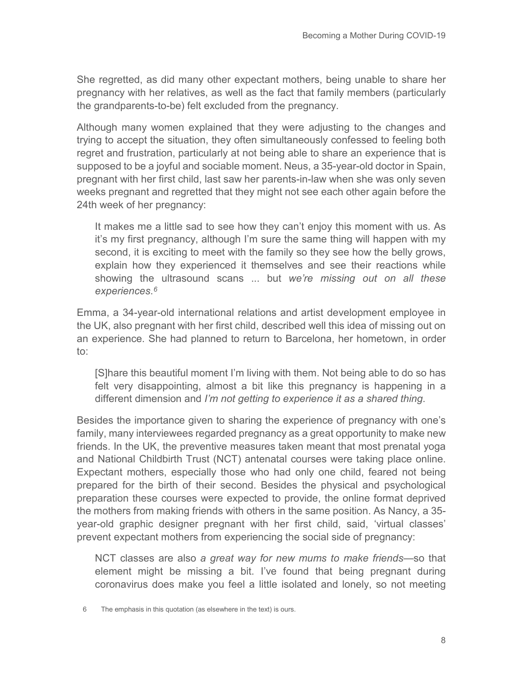She regretted, as did many other expectant mothers, being unable to share her pregnancy with her relatives, as well as the fact that family members (particularly the grandparents-to-be) felt excluded from the pregnancy.

Although many women explained that they were adjusting to the changes and trying to accept the situation, they often simultaneously confessed to feeling both regret and frustration, particularly at not being able to share an experience that is supposed to be a joyful and sociable moment. Neus, a 35-year-old doctor in Spain, pregnant with her first child, last saw her parents-in-law when she was only seven weeks pregnant and regretted that they might not see each other again before the 24th week of her pregnancy:

It makes me a little sad to see how they can't enjoy this moment with us. As it's my first pregnancy, although I'm sure the same thing will happen with my second, it is exciting to meet with the family so they see how the belly grows, explain how they experienced it themselves and see their reactions while showing the ultrasound scans ... but *we're missing out on all these experiences*.*[6](#page-7-0)*

Emma, a 34-year-old international relations and artist development employee in the UK, also pregnant with her first child, described well this idea of missing out on an experience. She had planned to return to Barcelona, her hometown, in order to:

[S]hare this beautiful moment I'm living with them. Not being able to do so has felt very disappointing, almost a bit like this pregnancy is happening in a different dimension and *I'm not getting to experience it as a shared thing*.

Besides the importance given to sharing the experience of pregnancy with one's family, many interviewees regarded pregnancy as a great opportunity to make new friends. In the UK, the preventive measures taken meant that most prenatal yoga and National Childbirth Trust (NCT) antenatal courses were taking place online. Expectant mothers, especially those who had only one child, feared not being prepared for the birth of their second. Besides the physical and psychological preparation these courses were expected to provide, the online format deprived the mothers from making friends with others in the same position. As Nancy, a 35 year-old graphic designer pregnant with her first child, said, 'virtual classes' prevent expectant mothers from experiencing the social side of pregnancy:

NCT classes are also *a great way for new mums to make friends*—so that element might be missing a bit. I've found that being pregnant during coronavirus does make you feel a little isolated and lonely, so not meeting

<span id="page-7-0"></span><sup>6</sup> The emphasis in this quotation (as elsewhere in the text) is ours.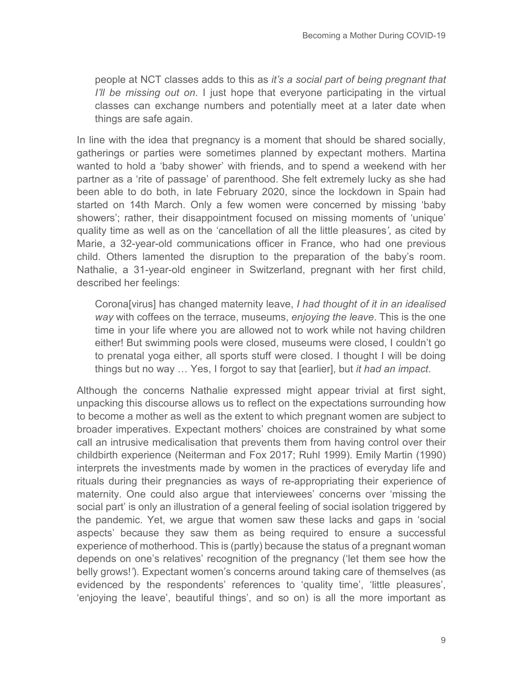people at NCT classes adds to this as *it's a social part of being pregnant that I'll be missing out on*. I just hope that everyone participating in the virtual classes can exchange numbers and potentially meet at a later date when things are safe again.

In line with the idea that pregnancy is a moment that should be shared socially, gatherings or parties were sometimes planned by expectant mothers. Martina wanted to hold a 'baby shower' with friends, and to spend a weekend with her partner as a 'rite of passage' of parenthood. She felt extremely lucky as she had been able to do both, in late February 2020, since the lockdown in Spain had started on 14th March. Only a few women were concerned by missing 'baby showers'; rather, their disappointment focused on missing moments of 'unique' quality time as well as on the 'cancellation of all the little pleasures*'*, as cited by Marie, a 32-year-old communications officer in France, who had one previous child. Others lamented the disruption to the preparation of the baby's room. Nathalie, a 31-year-old engineer in Switzerland, pregnant with her first child, described her feelings:

Corona[virus] has changed maternity leave, *I had thought of it in an idealised way* with coffees on the terrace, museums, *enjoying the leave*. This is the one time in your life where you are allowed not to work while not having children either! But swimming pools were closed, museums were closed, I couldn't go to prenatal yoga either, all sports stuff were closed. I thought I will be doing things but no way … Yes, I forgot to say that [earlier], but *it had an impact*.

Although the concerns Nathalie expressed might appear trivial at first sight, unpacking this discourse allows us to reflect on the expectations surrounding how to become a mother as well as the extent to which pregnant women are subject to broader imperatives. Expectant mothers' choices are constrained by what some call an intrusive medicalisation that prevents them from having control over their childbirth experience (Neiterman and Fox 2017; Ruhl 1999). Emily Martin (1990) interprets the investments made by women in the practices of everyday life and rituals during their pregnancies as ways of re-appropriating their experience of maternity. One could also argue that interviewees' concerns over 'missing the social part' is only an illustration of a general feeling of social isolation triggered by the pandemic. Yet, we argue that women saw these lacks and gaps in 'social aspects' because they saw them as being required to ensure a successful experience of motherhood. This is (partly) because the status of a pregnant woman depends on one's relatives' recognition of the pregnancy ('let them see how the belly grows!*'*). Expectant women's concerns around taking care of themselves (as evidenced by the respondents' references to 'quality time', 'little pleasures', 'enjoying the leave', beautiful things', and so on) is all the more important as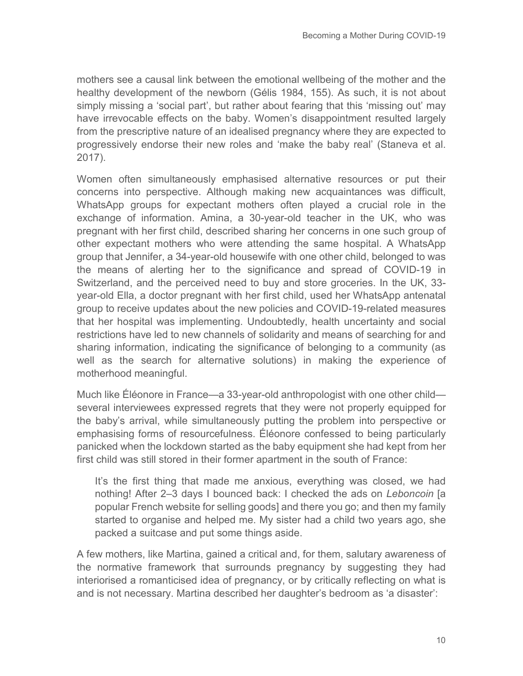mothers see a causal link between the emotional wellbeing of the mother and the healthy development of the newborn (Gélis 1984, 155). As such, it is not about simply missing a 'social part', but rather about fearing that this 'missing out' may have irrevocable effects on the baby. Women's disappointment resulted largely from the prescriptive nature of an idealised pregnancy where they are expected to progressively endorse their new roles and 'make the baby real' (Staneva et al. 2017).

Women often simultaneously emphasised alternative resources or put their concerns into perspective. Although making new acquaintances was difficult, WhatsApp groups for expectant mothers often played a crucial role in the exchange of information. Amina, a 30-year-old teacher in the UK, who was pregnant with her first child, described sharing her concerns in one such group of other expectant mothers who were attending the same hospital. A WhatsApp group that Jennifer, a 34-year-old housewife with one other child, belonged to was the means of alerting her to the significance and spread of COVID-19 in Switzerland, and the perceived need to buy and store groceries. In the UK, 33 year-old Ella, a doctor pregnant with her first child, used her WhatsApp antenatal group to receive updates about the new policies and COVID-19-related measures that her hospital was implementing. Undoubtedly, health uncertainty and social restrictions have led to new channels of solidarity and means of searching for and sharing information, indicating the significance of belonging to a community (as well as the search for alternative solutions) in making the experience of motherhood meaningful.

Much like Éléonore in France—a 33-year-old anthropologist with one other child several interviewees expressed regrets that they were not properly equipped for the baby's arrival, while simultaneously putting the problem into perspective or emphasising forms of resourcefulness. Éléonore confessed to being particularly panicked when the lockdown started as the baby equipment she had kept from her first child was still stored in their former apartment in the south of France:

It's the first thing that made me anxious, everything was closed, we had nothing! After 2–3 days I bounced back: I checked the ads on *Leboncoin* [a popular French website for selling goods] and there you go; and then my family started to organise and helped me. My sister had a child two years ago, she packed a suitcase and put some things aside.

A few mothers, like Martina, gained a critical and, for them, salutary awareness of the normative framework that surrounds pregnancy by suggesting they had interiorised a romanticised idea of pregnancy, or by critically reflecting on what is and is not necessary. Martina described her daughter's bedroom as 'a disaster':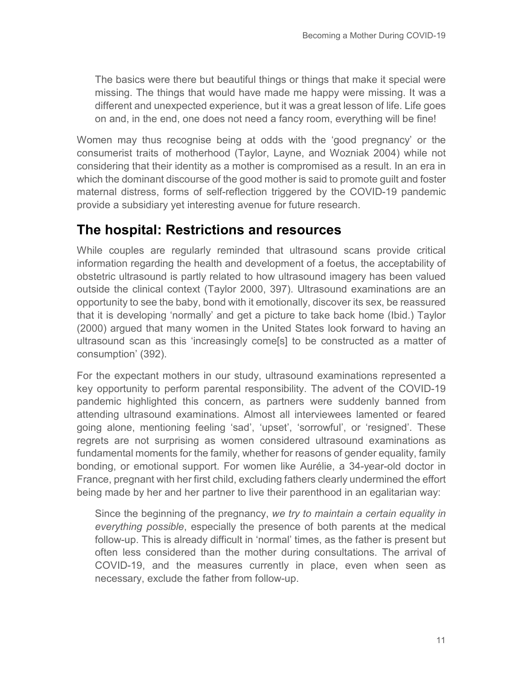The basics were there but beautiful things or things that make it special were missing. The things that would have made me happy were missing. It was a different and unexpected experience, but it was a great lesson of life. Life goes on and, in the end, one does not need a fancy room, everything will be fine!

Women may thus recognise being at odds with the 'good pregnancy' or the consumerist traits of motherhood (Taylor, Layne, and Wozniak 2004) while not considering that their identity as a mother is compromised as a result. In an era in which the dominant discourse of the good mother is said to promote guilt and foster maternal distress, forms of self-reflection triggered by the COVID-19 pandemic provide a subsidiary yet interesting avenue for future research.

#### **The hospital: Restrictions and resources**

While couples are regularly reminded that ultrasound scans provide critical information regarding the health and development of a foetus, the acceptability of obstetric ultrasound is partly related to how ultrasound imagery has been valued outside the clinical context (Taylor 2000, 397). Ultrasound examinations are an opportunity to see the baby, bond with it emotionally, discover its sex, be reassured that it is developing 'normally' and get a picture to take back home (Ibid.) Taylor (2000) argued that many women in the United States look forward to having an ultrasound scan as this 'increasingly come[s] to be constructed as a matter of consumption' (392).

For the expectant mothers in our study, ultrasound examinations represented a key opportunity to perform parental responsibility. The advent of the COVID-19 pandemic highlighted this concern, as partners were suddenly banned from attending ultrasound examinations. Almost all interviewees lamented or feared going alone, mentioning feeling 'sad', 'upset', 'sorrowful', or 'resigned'. These regrets are not surprising as women considered ultrasound examinations as fundamental moments for the family, whether for reasons of gender equality, family bonding, or emotional support. For women like Aurélie, a 34-year-old doctor in France, pregnant with her first child, excluding fathers clearly undermined the effort being made by her and her partner to live their parenthood in an egalitarian way:

Since the beginning of the pregnancy, *we try to maintain a certain equality in everything possible*, especially the presence of both parents at the medical follow-up. This is already difficult in 'normal' times, as the father is present but often less considered than the mother during consultations. The arrival of COVID-19, and the measures currently in place, even when seen as necessary, exclude the father from follow-up.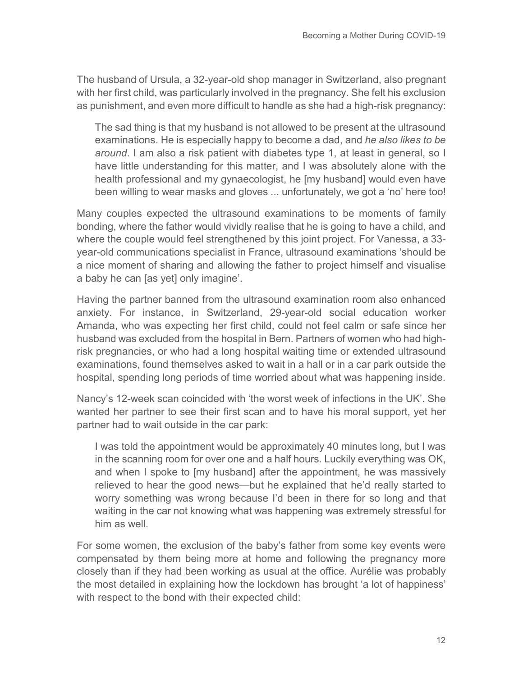The husband of Ursula, a 32-year-old shop manager in Switzerland, also pregnant with her first child, was particularly involved in the pregnancy. She felt his exclusion as punishment, and even more difficult to handle as she had a high-risk pregnancy:

The sad thing is that my husband is not allowed to be present at the ultrasound examinations. He is especially happy to become a dad, and *he also likes to be around*. I am also a risk patient with diabetes type 1, at least in general, so I have little understanding for this matter, and I was absolutely alone with the health professional and my gynaecologist, he [my husband] would even have been willing to wear masks and gloves ... unfortunately, we got a 'no' here too!

Many couples expected the ultrasound examinations to be moments of family bonding, where the father would vividly realise that he is going to have a child, and where the couple would feel strengthened by this joint project. For Vanessa, a 33 year-old communications specialist in France, ultrasound examinations 'should be a nice moment of sharing and allowing the father to project himself and visualise a baby he can [as yet] only imagine'.

Having the partner banned from the ultrasound examination room also enhanced anxiety. For instance, in Switzerland, 29-year-old social education worker Amanda, who was expecting her first child, could not feel calm or safe since her husband was excluded from the hospital in Bern. Partners of women who had highrisk pregnancies, or who had a long hospital waiting time or extended ultrasound examinations, found themselves asked to wait in a hall or in a car park outside the hospital, spending long periods of time worried about what was happening inside.

Nancy's 12-week scan coincided with 'the worst week of infections in the UK'. She wanted her partner to see their first scan and to have his moral support, yet her partner had to wait outside in the car park:

I was told the appointment would be approximately 40 minutes long, but I was in the scanning room for over one and a half hours. Luckily everything was OK, and when I spoke to [my husband] after the appointment, he was massively relieved to hear the good news—but he explained that he'd really started to worry something was wrong because I'd been in there for so long and that waiting in the car not knowing what was happening was extremely stressful for him as well.

For some women, the exclusion of the baby's father from some key events were compensated by them being more at home and following the pregnancy more closely than if they had been working as usual at the office. Aurélie was probably the most detailed in explaining how the lockdown has brought 'a lot of happiness' with respect to the bond with their expected child: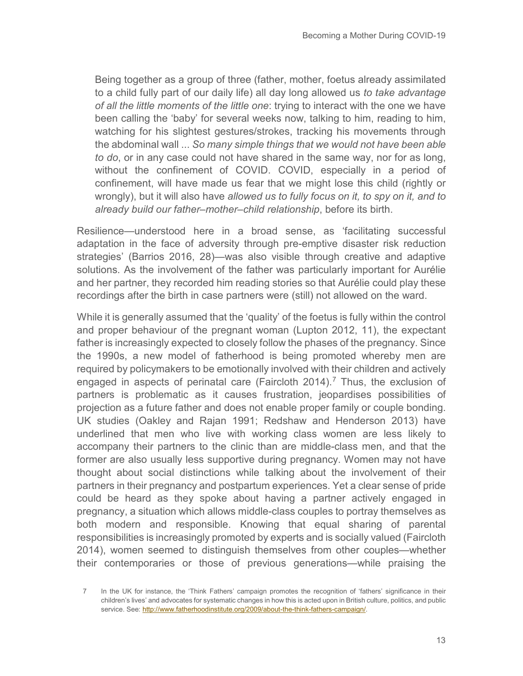Being together as a group of three (father, mother, foetus already assimilated to a child fully part of our daily life) all day long allowed us *to take advantage of all the little moments of the little one*: trying to interact with the one we have been calling the 'baby' for several weeks now, talking to him, reading to him, watching for his slightest gestures/strokes, tracking his movements through the abdominal wall ... *So many simple things that we would not have been able to do*, or in any case could not have shared in the same way, nor for as long, without the confinement of COVID. COVID, especially in a period of confinement, will have made us fear that we might lose this child (rightly or wrongly), but it will also have *allowed us to fully focus on it, to spy on it, and to already build our father–mother–child relationship*, before its birth.

Resilience—understood here in a broad sense, as 'facilitating successful adaptation in the face of adversity through pre-emptive disaster risk reduction strategies' (Barrios 2016, 28)—was also visible through creative and adaptive solutions. As the involvement of the father was particularly important for Aurélie and her partner, they recorded him reading stories so that Aurélie could play these recordings after the birth in case partners were (still) not allowed on the ward.

While it is generally assumed that the 'quality' of the foetus is fully within the control and proper behaviour of the pregnant woman (Lupton 2012, 11), the expectant father is increasingly expected to closely follow the phases of the pregnancy. Since the 1990s, a new model of fatherhood is being promoted whereby men are required by policymakers to be emotionally involved with their children and actively engaged in aspects of perinatal care (Faircloth 2014).<sup>[7](#page-12-0)</sup> Thus, the exclusion of partners is problematic as it causes frustration, jeopardises possibilities of projection as a future father and does not enable proper family or couple bonding. UK studies (Oakley and Rajan 1991; Redshaw and Henderson 2013) have underlined that men who live with working class women are less likely to accompany their partners to the clinic than are middle-class men, and that the former are also usually less supportive during pregnancy. Women may not have thought about social distinctions while talking about the involvement of their partners in their pregnancy and postpartum experiences. Yet a clear sense of pride could be heard as they spoke about having a partner actively engaged in pregnancy, a situation which allows middle-class couples to portray themselves as both modern and responsible. Knowing that equal sharing of parental responsibilities is increasingly promoted by experts and is socially valued (Faircloth 2014), women seemed to distinguish themselves from other couples—whether their contemporaries or those of previous generations—while praising the

<span id="page-12-0"></span><sup>7</sup> In the UK for instance, the 'Think Fathers' campaign promotes the recognition of 'fathers' significance in their children's lives' and advocates for systematic changes in how this is acted upon in British culture, politics, and public service. See: http://www.fatherhoodinstitute.org/2009/about-the-think-fathers-campaign/.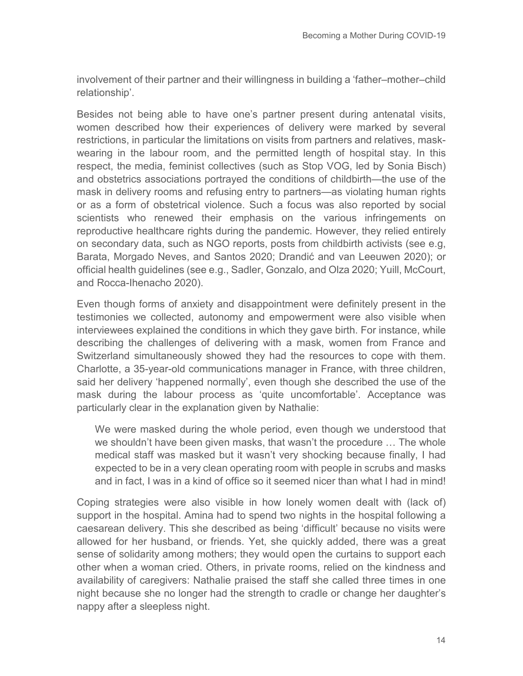involvement of their partner and their willingness in building a 'father–mother–child relationship'.

Besides not being able to have one's partner present during antenatal visits, women described how their experiences of delivery were marked by several restrictions, in particular the limitations on visits from partners and relatives, maskwearing in the labour room, and the permitted length of hospital stay. In this respect, the media, feminist collectives (such as Stop VOG, led by Sonia Bisch) and obstetrics associations portrayed the conditions of childbirth—the use of the mask in delivery rooms and refusing entry to partners—as violating human rights or as a form of obstetrical violence. Such a focus was also reported by social scientists who renewed their emphasis on the various infringements on reproductive healthcare rights during the pandemic. However, they relied entirely on secondary data, such as NGO reports, posts from childbirth activists (see e.g, Barata, Morgado Neves, and Santos 2020; Drandić and van Leeuwen 2020); or official health guidelines (see e.g., Sadler, Gonzalo, and Olza 2020; Yuill, McCourt, and Rocca-Ihenacho 2020).

Even though forms of anxiety and disappointment were definitely present in the testimonies we collected, autonomy and empowerment were also visible when interviewees explained the conditions in which they gave birth. For instance, while describing the challenges of delivering with a mask, women from France and Switzerland simultaneously showed they had the resources to cope with them. Charlotte, a 35-year-old communications manager in France, with three children, said her delivery 'happened normally', even though she described the use of the mask during the labour process as 'quite uncomfortable'. Acceptance was particularly clear in the explanation given by Nathalie:

We were masked during the whole period, even though we understood that we shouldn't have been given masks, that wasn't the procedure … The whole medical staff was masked but it wasn't very shocking because finally, I had expected to be in a very clean operating room with people in scrubs and masks and in fact, I was in a kind of office so it seemed nicer than what I had in mind!

Coping strategies were also visible in how lonely women dealt with (lack of) support in the hospital. Amina had to spend two nights in the hospital following a caesarean delivery. This she described as being 'difficult' because no visits were allowed for her husband, or friends. Yet, she quickly added, there was a great sense of solidarity among mothers; they would open the curtains to support each other when a woman cried. Others, in private rooms, relied on the kindness and availability of caregivers: Nathalie praised the staff she called three times in one night because she no longer had the strength to cradle or change her daughter's nappy after a sleepless night.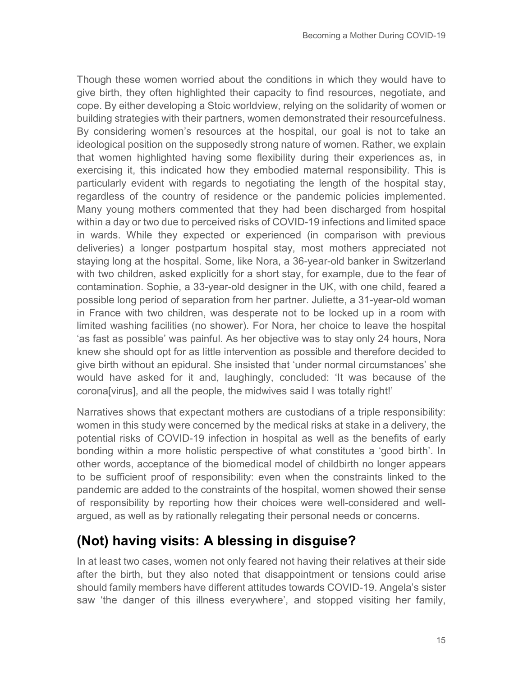Though these women worried about the conditions in which they would have to give birth, they often highlighted their capacity to find resources, negotiate, and cope. By either developing a Stoic worldview, relying on the solidarity of women or building strategies with their partners, women demonstrated their resourcefulness. By considering women's resources at the hospital, our goal is not to take an ideological position on the supposedly strong nature of women. Rather, we explain that women highlighted having some flexibility during their experiences as, in exercising it, this indicated how they embodied maternal responsibility. This is particularly evident with regards to negotiating the length of the hospital stay, regardless of the country of residence or the pandemic policies implemented. Many young mothers commented that they had been discharged from hospital within a day or two due to perceived risks of COVID-19 infections and limited space in wards. While they expected or experienced (in comparison with previous deliveries) a longer postpartum hospital stay, most mothers appreciated not staying long at the hospital. Some, like Nora, a 36-year-old banker in Switzerland with two children, asked explicitly for a short stay, for example, due to the fear of contamination. Sophie, a 33-year-old designer in the UK, with one child, feared a possible long period of separation from her partner. Juliette, a 31-year-old woman in France with two children, was desperate not to be locked up in a room with limited washing facilities (no shower). For Nora, her choice to leave the hospital 'as fast as possible' was painful. As her objective was to stay only 24 hours, Nora knew she should opt for as little intervention as possible and therefore decided to give birth without an epidural. She insisted that 'under normal circumstances' she would have asked for it and, laughingly, concluded: 'It was because of the corona[virus], and all the people, the midwives said I was totally right!'

Narratives shows that expectant mothers are custodians of a triple responsibility: women in this study were concerned by the medical risks at stake in a delivery, the potential risks of COVID-19 infection in hospital as well as the benefits of early bonding within a more holistic perspective of what constitutes a 'good birth'. In other words, acceptance of the biomedical model of childbirth no longer appears to be sufficient proof of responsibility: even when the constraints linked to the pandemic are added to the constraints of the hospital, women showed their sense of responsibility by reporting how their choices were well-considered and wellargued, as well as by rationally relegating their personal needs or concerns.

#### **(Not) having visits: A blessing in disguise?**

In at least two cases, women not only feared not having their relatives at their side after the birth, but they also noted that disappointment or tensions could arise should family members have different attitudes towards COVID-19. Angela's sister saw 'the danger of this illness everywhere', and stopped visiting her family,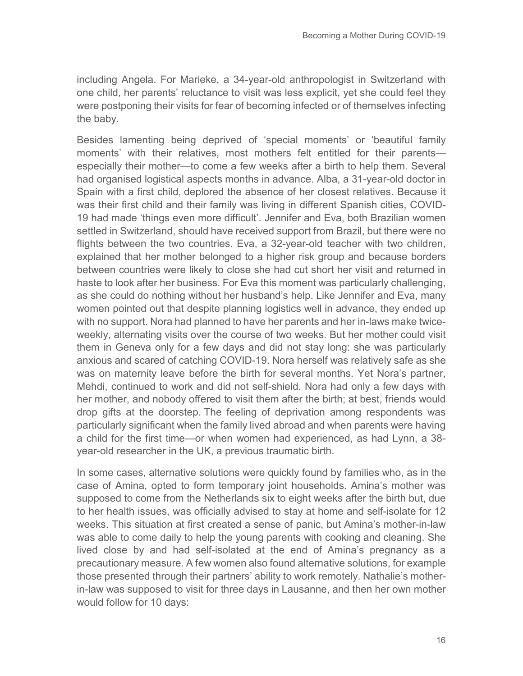including Angela. For Marieke, a 34-year-old anthropologist in Switzerland with one child, her parents' reluctance to visit was less explicit, yet she could feel they were postponing their visits for fear of becoming infected or of themselves infecting the baby.

Besides lamenting being deprived of 'special moments' or 'beautiful family moments' with their relatives, most mothers felt entitled for their parents especially their mother—to come a few weeks after a birth to help them. Several had organised logistical aspects months in advance. Alba, a 31-year-old doctor in Spain with a first child, deplored the absence of her closest relatives. Because it was their first child and their family was living in different Spanish cities, COVID-19 had made 'things even more difficult'. Jennifer and Eva, both Brazilian women settled in Switzerland, should have received support from Brazil, but there were no flights between the two countries. Eva, a 32-year-old teacher with two children, explained that her mother belonged to a higher risk group and because borders between countries were likely to close she had cut short her visit and returned in haste to look after her business. For Eva this moment was particularly challenging, as she could do nothing without her husband's help. Like Jennifer and Eva, many women pointed out that despite planning logistics well in advance, they ended up with no support. Nora had planned to have her parents and her in-laws make twiceweekly, alternating visits over the course of two weeks. But her mother could visit them in Geneva only for a few days and did not stay long: she was particularly anxious and scared of catching COVID-19. Nora herself was relatively safe as she was on maternity leave before the birth for several months. Yet Nora's partner, Mehdi, continued to work and did not self-shield. Nora had only a few days with her mother, and nobody offered to visit them after the birth; at best, friends would drop gifts at the doorstep. The feeling of deprivation among respondents was particularly significant when the family lived abroad and when parents were having a child for the first time—or when women had experienced, as had Lynn, a 38 year-old researcher in the UK, a previous traumatic birth.

In some cases, alternative solutions were quickly found by families who, as in the case of Amina, opted to form temporary joint households. Amina's mother was supposed to come from the Netherlands six to eight weeks after the birth but, due to her health issues, was officially advised to stay at home and self-isolate for 12 weeks. This situation at first created a sense of panic, but Amina's mother-in-law was able to come daily to help the young parents with cooking and cleaning. She lived close by and had self-isolated at the end of Amina's pregnancy as a precautionary measure. A few women also found alternative solutions, for example those presented through their partners' ability to work remotely. Nathalie's motherin-law was supposed to visit for three days in Lausanne, and then her own mother would follow for 10 days: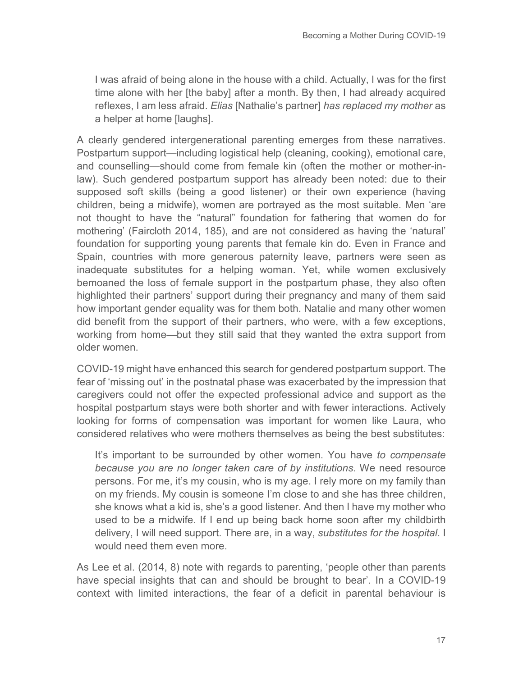I was afraid of being alone in the house with a child. Actually, I was for the first time alone with her [the baby] after a month. By then, I had already acquired reflexes, I am less afraid. *Elias* [Nathalie's partner] *has replaced my mother* as a helper at home [laughs].

A clearly gendered intergenerational parenting emerges from these narratives. Postpartum support—including logistical help (cleaning, cooking), emotional care, and counselling—should come from female kin (often the mother or mother-inlaw). Such gendered postpartum support has already been noted: due to their supposed soft skills (being a good listener) or their own experience (having children, being a midwife), women are portrayed as the most suitable. Men 'are not thought to have the "natural" foundation for fathering that women do for mothering' (Faircloth 2014, 185), and are not considered as having the 'natural' foundation for supporting young parents that female kin do. Even in France and Spain, countries with more generous paternity leave, partners were seen as inadequate substitutes for a helping woman. Yet, while women exclusively bemoaned the loss of female support in the postpartum phase, they also often highlighted their partners' support during their pregnancy and many of them said how important gender equality was for them both. Natalie and many other women did benefit from the support of their partners, who were, with a few exceptions, working from home—but they still said that they wanted the extra support from older women.

COVID-19 might have enhanced this search for gendered postpartum support. The fear of 'missing out' in the postnatal phase was exacerbated by the impression that caregivers could not offer the expected professional advice and support as the hospital postpartum stays were both shorter and with fewer interactions. Actively looking for forms of compensation was important for women like Laura, who considered relatives who were mothers themselves as being the best substitutes:

It's important to be surrounded by other women. You have *to compensate because you are no longer taken care of by institutions*. We need resource persons. For me, it's my cousin, who is my age. I rely more on my family than on my friends. My cousin is someone I'm close to and she has three children, she knows what a kid is, she's a good listener. And then I have my mother who used to be a midwife. If I end up being back home soon after my childbirth delivery, I will need support. There are, in a way, *substitutes for the hospital*. I would need them even more.

As Lee et al. (2014, 8) note with regards to parenting, 'people other than parents have special insights that can and should be brought to bear'. In a COVID-19 context with limited interactions, the fear of a deficit in parental behaviour is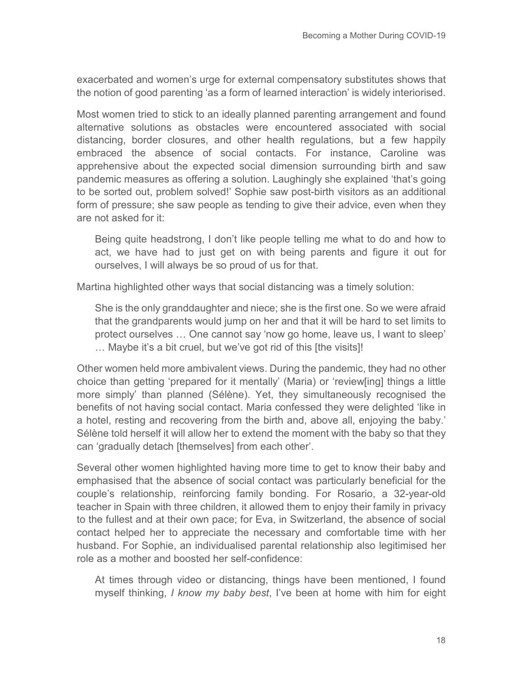exacerbated and women's urge for external compensatory substitutes shows that the notion of good parenting 'as a form of learned interaction' is widely interiorised.

Most women tried to stick to an ideally planned parenting arrangement and found alternative solutions as obstacles were encountered associated with social distancing, border closures, and other health regulations, but a few happily embraced the absence of social contacts. For instance, Caroline was apprehensive about the expected social dimension surrounding birth and saw pandemic measures as offering a solution. Laughingly she explained 'that's going to be sorted out, problem solved!' Sophie saw post-birth visitors as an additional form of pressure; she saw people as tending to give their advice, even when they are not asked for it:

Being quite headstrong, I don't like people telling me what to do and how to act, we have had to just get on with being parents and figure it out for ourselves, I will always be so proud of us for that.

Martina highlighted other ways that social distancing was a timely solution:

She is the only granddaughter and niece; she is the first one. So we were afraid that the grandparents would jump on her and that it will be hard to set limits to protect ourselves … One cannot say 'now go home, leave us, I want to sleep' … Maybe it's a bit cruel, but we've got rid of this [the visits]!

Other women held more ambivalent views. During the pandemic, they had no other choice than getting 'prepared for it mentally' (Maria) or 'review[ing] things a little more simply' than planned (Sélène). Yet, they simultaneously recognised the benefits of not having social contact. Maria confessed they were delighted 'like in a hotel, resting and recovering from the birth and, above all, enjoying the baby.' Sélène told herself it will allow her to extend the moment with the baby so that they can 'gradually detach [themselves] from each other'.

Several other women highlighted having more time to get to know their baby and emphasised that the absence of social contact was particularly beneficial for the couple's relationship, reinforcing family bonding. For Rosario, a 32-year-old teacher in Spain with three children, it allowed them to enjoy their family in privacy to the fullest and at their own pace; for Eva, in Switzerland, the absence of social contact helped her to appreciate the necessary and comfortable time with her husband. For Sophie, an individualised parental relationship also legitimised her role as a mother and boosted her self-confidence:

At times through video or distancing, things have been mentioned, I found myself thinking, *I know my baby best*, I've been at home with him for eight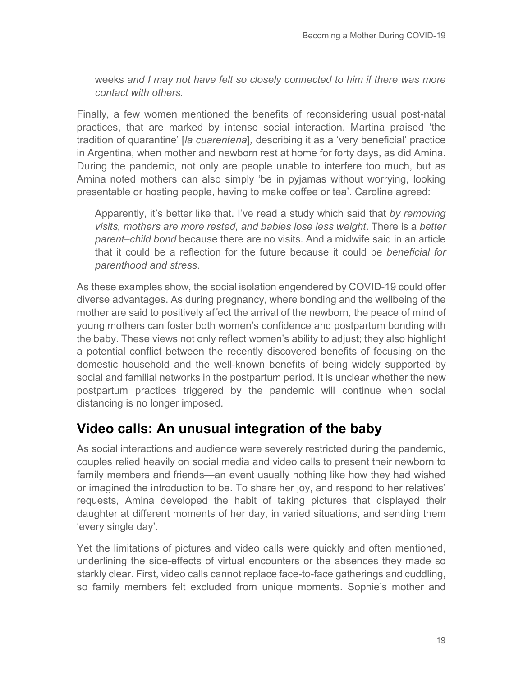weeks *and I may not have felt so closely connected to him if there was more contact with others.*

Finally, a few women mentioned the benefits of reconsidering usual post-natal practices, that are marked by intense social interaction. Martina praised 'the tradition of quarantine' [*la cuarentena*]*,* describing it as a 'very beneficial' practice in Argentina, when mother and newborn rest at home for forty days, as did Amina. During the pandemic, not only are people unable to interfere too much, but as Amina noted mothers can also simply 'be in pyjamas without worrying, looking presentable or hosting people, having to make coffee or tea'. Caroline agreed:

Apparently, it's better like that. I've read a study which said that *by removing visits, mothers are more rested, and babies lose less weight*. There is a *better parent–child bond* because there are no visits. And a midwife said in an article that it could be a reflection for the future because it could be *beneficial for parenthood and stress*.

As these examples show, the social isolation engendered by COVID-19 could offer diverse advantages. As during pregnancy, where bonding and the wellbeing of the mother are said to positively affect the arrival of the newborn, the peace of mind of young mothers can foster both women's confidence and postpartum bonding with the baby. These views not only reflect women's ability to adjust; they also highlight a potential conflict between the recently discovered benefits of focusing on the domestic household and the well-known benefits of being widely supported by social and familial networks in the postpartum period. It is unclear whether the new postpartum practices triggered by the pandemic will continue when social distancing is no longer imposed.

#### **Video calls: An unusual integration of the baby**

As social interactions and audience were severely restricted during the pandemic, couples relied heavily on social media and video calls to present their newborn to family members and friends—an event usually nothing like how they had wished or imagined the introduction to be. To share her joy, and respond to her relatives' requests, Amina developed the habit of taking pictures that displayed their daughter at different moments of her day, in varied situations, and sending them 'every single day'.

Yet the limitations of pictures and video calls were quickly and often mentioned, underlining the side-effects of virtual encounters or the absences they made so starkly clear. First, video calls cannot replace face-to-face gatherings and cuddling, so family members felt excluded from unique moments. Sophie's mother and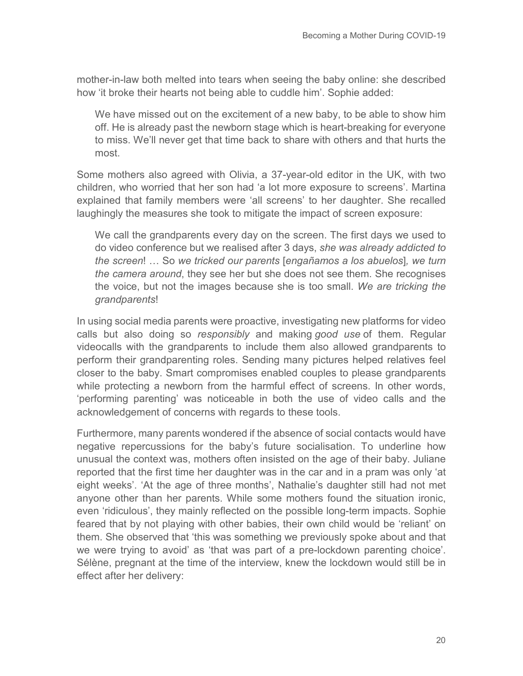mother-in-law both melted into tears when seeing the baby online: she described how 'it broke their hearts not being able to cuddle him'. Sophie added:

We have missed out on the excitement of a new baby, to be able to show him off. He is already past the newborn stage which is heart-breaking for everyone to miss. We'll never get that time back to share with others and that hurts the most.

Some mothers also agreed with Olivia, a 37-year-old editor in the UK, with two children, who worried that her son had 'a lot more exposure to screens'. Martina explained that family members were 'all screens' to her daughter. She recalled laughingly the measures she took to mitigate the impact of screen exposure:

We call the grandparents every day on the screen. The first days we used to do video conference but we realised after 3 days, *she was already addicted to the screen*! … So *we tricked our parents* [*engañamos a los abuelos*]*, we turn the camera around*, they see her but she does not see them. She recognises the voice, but not the images because she is too small. *We are tricking the grandparents*!

In using social media parents were proactive, investigating new platforms for video calls but also doing so *responsibly* and making *good use* of them. Regular videocalls with the grandparents to include them also allowed grandparents to perform their grandparenting roles. Sending many pictures helped relatives feel closer to the baby. Smart compromises enabled couples to please grandparents while protecting a newborn from the harmful effect of screens. In other words, 'performing parenting' was noticeable in both the use of video calls and the acknowledgement of concerns with regards to these tools.

Furthermore, many parents wondered if the absence of social contacts would have negative repercussions for the baby's future socialisation. To underline how unusual the context was, mothers often insisted on the age of their baby. Juliane reported that the first time her daughter was in the car and in a pram was only 'at eight weeks'. 'At the age of three months', Nathalie's daughter still had not met anyone other than her parents. While some mothers found the situation ironic, even 'ridiculous', they mainly reflected on the possible long-term impacts. Sophie feared that by not playing with other babies, their own child would be 'reliant' on them. She observed that 'this was something we previously spoke about and that we were trying to avoid' as 'that was part of a pre-lockdown parenting choice'. Sélène, pregnant at the time of the interview, knew the lockdown would still be in effect after her delivery: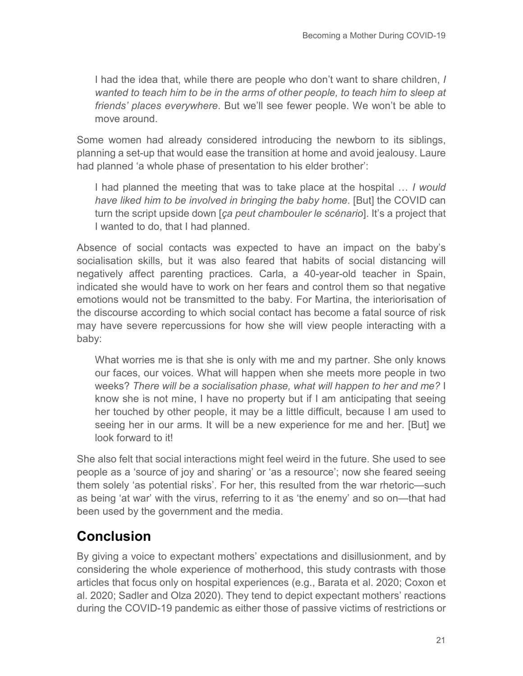I had the idea that, while there are people who don't want to share children, *I wanted to teach him to be in the arms of other people, to teach him to sleep at friends' places everywhere*. But we'll see fewer people. We won't be able to move around.

Some women had already considered introducing the newborn to its siblings, planning a set-up that would ease the transition at home and avoid jealousy. Laure had planned 'a whole phase of presentation to his elder brother':

I had planned the meeting that was to take place at the hospital … *I would have liked him to be involved in bringing the baby home*. [But] the COVID can turn the script upside down [*ça peut chambouler le scénario*]. It's a project that I wanted to do, that I had planned.

Absence of social contacts was expected to have an impact on the baby's socialisation skills, but it was also feared that habits of social distancing will negatively affect parenting practices. Carla, a 40-year-old teacher in Spain, indicated she would have to work on her fears and control them so that negative emotions would not be transmitted to the baby. For Martina, the interiorisation of the discourse according to which social contact has become a fatal source of risk may have severe repercussions for how she will view people interacting with a baby:

What worries me is that she is only with me and my partner. She only knows our faces, our voices. What will happen when she meets more people in two weeks? *There will be a socialisation phase, what will happen to her and me?* I know she is not mine, I have no property but if I am anticipating that seeing her touched by other people, it may be a little difficult, because I am used to seeing her in our arms. It will be a new experience for me and her. [But] we look forward to it!

She also felt that social interactions might feel weird in the future. She used to see people as a 'source of joy and sharing' or 'as a resource'; now she feared seeing them solely 'as potential risks'. For her, this resulted from the war rhetoric—such as being 'at war' with the virus, referring to it as 'the enemy' and so on—that had been used by the government and the media.

## **Conclusion**

By giving a voice to expectant mothers' expectations and disillusionment, and by considering the whole experience of motherhood, this study contrasts with those articles that focus only on hospital experiences (e.g., Barata et al. 2020; Coxon et al. 2020; Sadler and Olza 2020). They tend to depict expectant mothers' reactions during the COVID-19 pandemic as either those of passive victims of restrictions or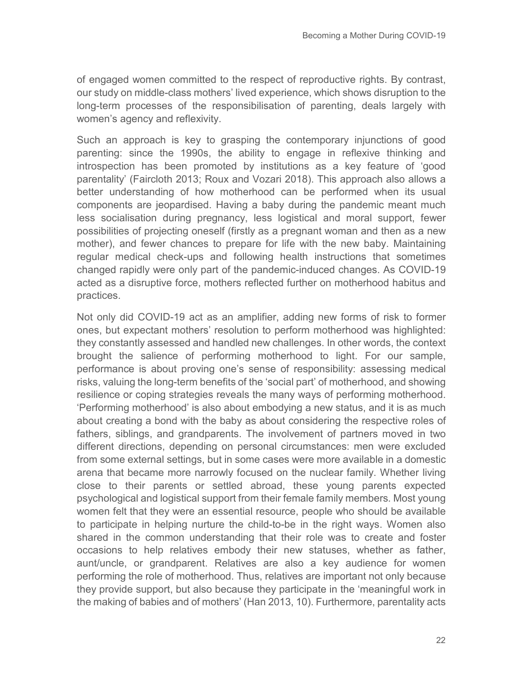of engaged women committed to the respect of reproductive rights. By contrast, our study on middle-class mothers' lived experience, which shows disruption to the long-term processes of the responsibilisation of parenting, deals largely with women's agency and reflexivity.

Such an approach is key to grasping the contemporary injunctions of good parenting: since the 1990s, the ability to engage in reflexive thinking and introspection has been promoted by institutions as a key feature of 'good parentality' (Faircloth 2013; Roux and Vozari 2018). This approach also allows a better understanding of how motherhood can be performed when its usual components are jeopardised. Having a baby during the pandemic meant much less socialisation during pregnancy, less logistical and moral support, fewer possibilities of projecting oneself (firstly as a pregnant woman and then as a new mother), and fewer chances to prepare for life with the new baby. Maintaining regular medical check-ups and following health instructions that sometimes changed rapidly were only part of the pandemic-induced changes. As COVID-19 acted as a disruptive force, mothers reflected further on motherhood habitus and practices.

Not only did COVID-19 act as an amplifier, adding new forms of risk to former ones, but expectant mothers' resolution to perform motherhood was highlighted: they constantly assessed and handled new challenges. In other words, the context brought the salience of performing motherhood to light. For our sample, performance is about proving one's sense of responsibility: assessing medical risks, valuing the long-term benefits of the 'social part' of motherhood, and showing resilience or coping strategies reveals the many ways of performing motherhood. 'Performing motherhood' is also about embodying a new status, and it is as much about creating a bond with the baby as about considering the respective roles of fathers, siblings, and grandparents. The involvement of partners moved in two different directions, depending on personal circumstances: men were excluded from some external settings, but in some cases were more available in a domestic arena that became more narrowly focused on the nuclear family. Whether living close to their parents or settled abroad, these young parents expected psychological and logistical support from their female family members. Most young women felt that they were an essential resource, people who should be available to participate in helping nurture the child-to-be in the right ways. Women also shared in the common understanding that their role was to create and foster occasions to help relatives embody their new statuses, whether as father, aunt/uncle, or grandparent. Relatives are also a key audience for women performing the role of motherhood. Thus, relatives are important not only because they provide support, but also because they participate in the 'meaningful work in the making of babies and of mothers' (Han 2013, 10). Furthermore, parentality acts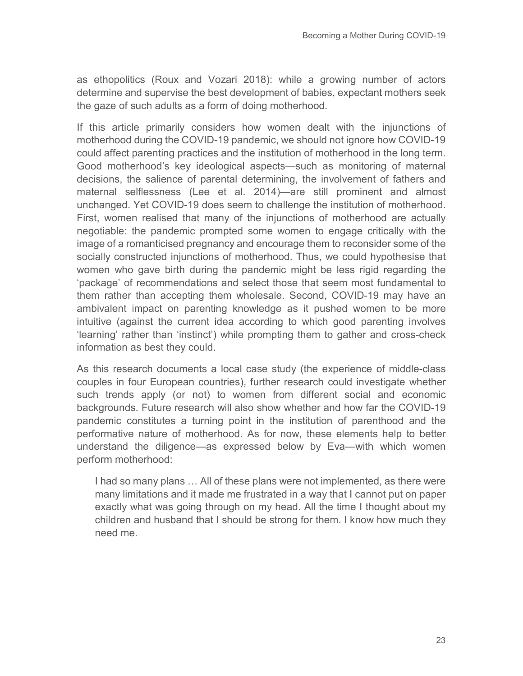as ethopolitics (Roux and Vozari 2018): while a growing number of actors determine and supervise the best development of babies, expectant mothers seek the gaze of such adults as a form of doing motherhood.

If this article primarily considers how women dealt with the injunctions of motherhood during the COVID-19 pandemic, we should not ignore how COVID-19 could affect parenting practices and the institution of motherhood in the long term. Good motherhood's key ideological aspects—such as monitoring of maternal decisions, the salience of parental determining, the involvement of fathers and maternal selflessness (Lee et al. 2014)—are still prominent and almost unchanged. Yet COVID-19 does seem to challenge the institution of motherhood. First, women realised that many of the injunctions of motherhood are actually negotiable: the pandemic prompted some women to engage critically with the image of a romanticised pregnancy and encourage them to reconsider some of the socially constructed injunctions of motherhood. Thus, we could hypothesise that women who gave birth during the pandemic might be less rigid regarding the 'package' of recommendations and select those that seem most fundamental to them rather than accepting them wholesale. Second, COVID-19 may have an ambivalent impact on parenting knowledge as it pushed women to be more intuitive (against the current idea according to which good parenting involves 'learning' rather than 'instinct') while prompting them to gather and cross-check information as best they could.

As this research documents a local case study (the experience of middle-class couples in four European countries), further research could investigate whether such trends apply (or not) to women from different social and economic backgrounds. Future research will also show whether and how far the COVID-19 pandemic constitutes a turning point in the institution of parenthood and the performative nature of motherhood. As for now, these elements help to better understand the diligence—as expressed below by Eva—with which women perform motherhood:

I had so many plans … All of these plans were not implemented, as there were many limitations and it made me frustrated in a way that I cannot put on paper exactly what was going through on my head. All the time I thought about my children and husband that I should be strong for them. I know how much they need me.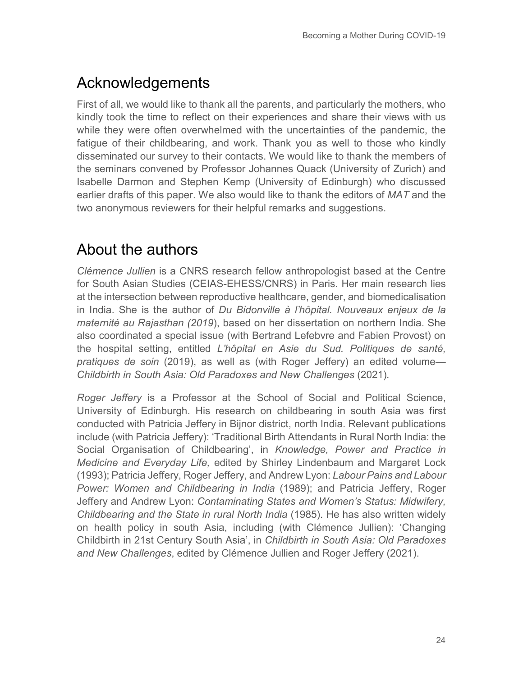# Acknowledgements

First of all, we would like to thank all the parents, and particularly the mothers, who kindly took the time to reflect on their experiences and share their views with us while they were often overwhelmed with the uncertainties of the pandemic, the fatigue of their childbearing, and work. Thank you as well to those who kindly disseminated our survey to their contacts. We would like to thank the members of the seminars convened by Professor Johannes Quack (University of Zurich) and Isabelle Darmon and Stephen Kemp (University of Edinburgh) who discussed earlier drafts of this paper. We also would like to thank the editors of *MAT* and the two anonymous reviewers for their helpful remarks and suggestions.

# About the authors

*Clémence Jullien* is a CNRS research fellow anthropologist based at the Centre for South Asian Studies (CEIAS-EHESS/CNRS) in Paris. Her main research lies at the intersection between reproductive healthcare, gender, and biomedicalisation in India. She is the author of *Du Bidonville à l'hôpital. Nouveaux enjeux de la maternité au Rajasthan (2019*), based on her dissertation on northern India. She also coordinated a special issue (with Bertrand Lefebvre and Fabien Provost) on the hospital setting, entitled *L'hôpital en Asie du Sud. Politiques de santé, pratiques de soin* (2019), as well as (with Roger Jeffery) an edited volume— *Childbirth in South Asia: Old Paradoxes and New Challenges* (2021)*.*

*Roger Jeffery* is a Professor at the School of Social and Political Science, University of Edinburgh. His research on childbearing in south Asia was first conducted with Patricia Jeffery in Bijnor district, north India. Relevant publications include (with Patricia Jeffery): 'Traditional Birth Attendants in Rural North India: the Social Organisation of Childbearing', in *Knowledge, Power and Practice in Medicine and Everyday Life,* edited by Shirley Lindenbaum and Margaret Lock (1993); Patricia Jeffery, Roger Jeffery, and Andrew Lyon: *Labour Pains and Labour Power: Women and Childbearing in India* (1989); and Patricia Jeffery, Roger Jeffery and Andrew Lyon: *Contaminating States and Women's Status: Midwifery, Childbearing and the State in rural North India* (1985). He has also written widely on health policy in south Asia, including (with Clémence Jullien): 'Changing Childbirth in 21st Century South Asia', in *Childbirth in South Asia: Old Paradoxes and New Challenges*, edited by Clémence Jullien and Roger Jeffery (2021).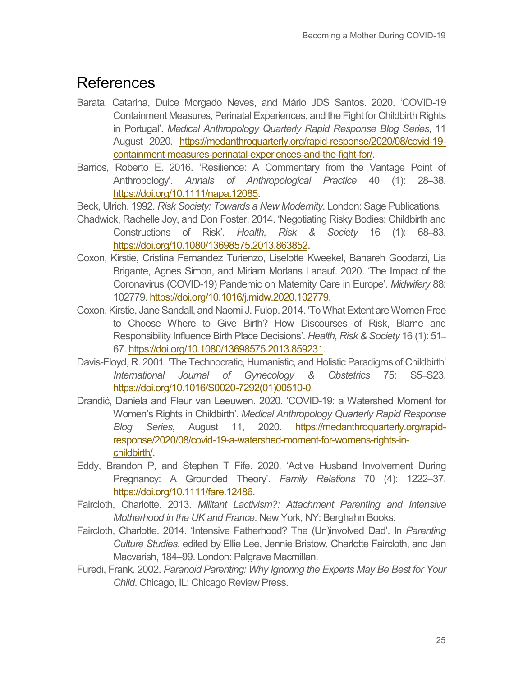## References

- Barata, Catarina, Dulce Morgado Neves, and Mário JDS Santos. 2020. 'COVID-19 Containment Measures, Perinatal Experiences, and the Fight for Childbirth Rights in Portugal'. *Medical Anthropology Quarterly Rapid Response Blog Series*, 11 August 2020. [https://medanthroquarterly.org/rapid-response/2020/08/covid-19](https://medanthroquarterly.org/rapid-response/2020/08/covid-19-containment-measures-perinatal-experiences-and-the-fight-for/) [containment-measures-perinatal-experiences-and-the-fight-for/.](https://medanthroquarterly.org/rapid-response/2020/08/covid-19-containment-measures-perinatal-experiences-and-the-fight-for/)
- Barrios, Roberto E. 2016. 'Resilience: A Commentary from the Vantage Point of Anthropology'. *Annals of Anthropological Practice* 40 (1): 28–38. [https://doi.org/10.1111/napa.12085.](https://doi.org/10.1111/napa.12085)
- Beck, Ulrich. 1992. *Risk Society: Towards a New Modernity*. London: Sage Publications.
- Chadwick, Rachelle Joy, and Don Foster. 2014. 'Negotiating Risky Bodies: Childbirth and Constructions of Risk'. *Health, Risk & Society* 16 (1): 68–83. [https://doi.org/10.1080/13698575.2013.863852.](https://doi.org/10.1080/13698575.2013.863852)
- Coxon, Kirstie, Cristina Fernandez Turienzo, Liselotte Kweekel, Bahareh Goodarzi, Lia Brigante, Agnes Simon, and Miriam Morlans Lanauf. 2020. 'The Impact of the Coronavirus (COVID-19) Pandemic on Maternity Care in Europe'. *Midwifery* 88: 102779[. https://doi.org/10.1016/j.midw.2020.102779.](https://dx.doi.org/10.1016%2Fj.midw.2020.102779)
- Coxon, Kirstie, Jane Sandall, and Naomi J. Fulop. 2014. 'To What Extent are Women Free to Choose Where to Give Birth? How Discourses of Risk, Blame and Responsibility Influence Birth Place Decisions'. *Health, Risk & Society* 16 (1): 51– 67[. https://doi.org/10.1080/13698575.2013.859231.](https://doi.org/10.1080/13698575.2013.859231)
- Davis-Floyd, R. 2001. 'The Technocratic, Humanistic, and Holistic Paradigms of Childbirth' *International Journal of Gynecology & Obstetrics* 75: S5–S23. [https://doi.org/10.1016/S0020-7292\(01\)00510-0.](https://doi.org/10.1016/S0020-7292(01)00510-0)
- Drandić, Daniela and Fleur van Leeuwen. 2020. 'COVID-19: a Watershed Moment for Women's Rights in Childbirth'. *Medical Anthropology Quarterly Rapid Response Blog Series*, August 11, 2020. [https://medanthroquarterly.org/rapid](https://medanthroquarterly.org/rapid-response/2020/08/covid-19-a-watershed-moment-for-womens-rights-in-childbirth/)[response/2020/08/covid-19-a-watershed-moment-for-womens-rights-in](https://medanthroquarterly.org/rapid-response/2020/08/covid-19-a-watershed-moment-for-womens-rights-in-childbirth/)[childbirth/.](https://medanthroquarterly.org/rapid-response/2020/08/covid-19-a-watershed-moment-for-womens-rights-in-childbirth/)
- Eddy, Brandon P, and Stephen T Fife. 2020. 'Active Husband Involvement During Pregnancy: A Grounded Theory'. *Family Relations* 70 (4): 1222–37. [https://doi.org/10.1111/fare.12486.](https://doi.org/10.1111/fare.12486)
- Faircloth, Charlotte. 2013. *Militant Lactivism?: Attachment Parenting and Intensive Motherhood in the UK and France*. New York, NY: Berghahn Books.
- Faircloth, Charlotte. 2014. 'Intensive Fatherhood? The (Un)involved Dad'. In *Parenting Culture Studies*, edited by Ellie Lee, Jennie Bristow, Charlotte Faircloth, and Jan Macvarish, 184–99. London: Palgrave Macmillan.
- Furedi, Frank. 2002. *Paranoid Parenting: Why Ignoring the Experts May Be Best for Your Child*. Chicago, IL: Chicago Review Press.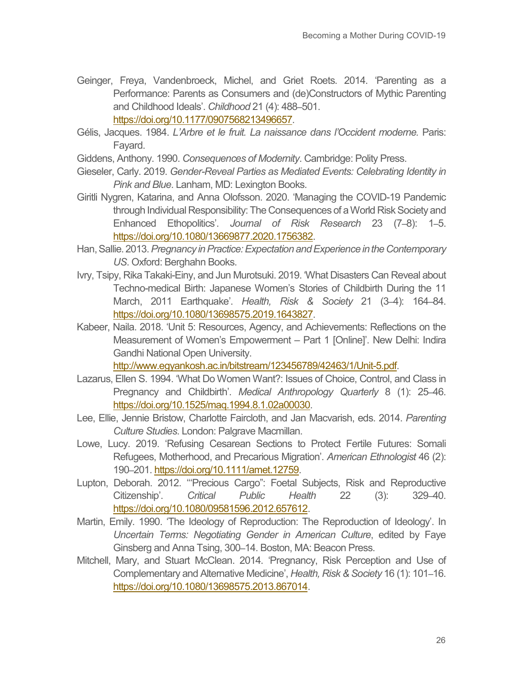- Geinger, Freya, Vandenbroeck, Michel, and Griet Roets. 2014. 'Parenting as a Performance: Parents as Consumers and (de)Constructors of Mythic Parenting and Childhood Ideals'. *Childhood* 21 (4): 488–501. [https://doi.org/10.1177/0907568213496657.](https://doi.org/10.1177/0907568213496657)
- Gélis, Jacques. 1984. *L'Arbre et le fruit. La naissance dans l'Occident moderne.* Paris: Fayard.
- Giddens, Anthony. 1990. *Consequences of Modernity*. Cambridge: Polity Press.
- Gieseler, Carly. 2019. *Gender-Reveal Parties as Mediated Events: Celebrating Identity in Pink and Blue*. Lanham, MD: Lexington Books.
- Giritli Nygren, Katarina, and Anna Olofsson. 2020. 'Managing the COVID-19 Pandemic through Individual Responsibility: The Consequences of a World Risk Society and Enhanced Ethopolitics'. *Journal of Risk Research* 23 (7–8): 1–5. [https://doi.org/10.1080/13669877.2020.1756382.](https://doi.org/10.1080/13669877.2020.1756382)
- Han, Sallie. 2013. *Pregnancy in Practice: Expectation and Experience in the Contemporary US*. Oxford: Berghahn Books.
- Ivry, Tsipy, Rika Takaki-Einy, and Jun Murotsuki. 2019. 'What Disasters Can Reveal about Techno-medical Birth: Japanese Women's Stories of Childbirth During the 11 March, 2011 Earthquake'. *Health, Risk & Society* 21 (3–4): 164–84. [https://doi.org/10.1080/13698575.2019.1643827.](https://doi.org/10.1080/13698575.2019.1643827)
- Kabeer, Naila. 2018. 'Unit 5: Resources, Agency, and Achievements: Reflections on the Measurement of Women's Empowerment – Part 1 [Online]'. New Delhi: Indira Gandhi National Open University.

[http://www.egyankosh.ac.in/bitstream/123456789/42463/1/Unit-5.pdf.](http://www.egyankosh.ac.in/bitstream/123456789/42463/1/Unit-5.pdf)

- Lazarus, Ellen S. 1994. 'What Do Women Want?: Issues of Choice, Control, and Class in Pregnancy and Childbirth'. *Medical Anthropology Quarterly* 8 (1): 25–46. [https://doi.org/10.1525/maq.1994.8.1.02a00030.](https://doi.org/10.1525/maq.1994.8.1.02a00030)
- Lee, Ellie, Jennie Bristow, Charlotte Faircloth, and Jan Macvarish, eds. 2014. *Parenting Culture Studies*. London: Palgrave Macmillan.
- Lowe, Lucy. 2019. 'Refusing Cesarean Sections to Protect Fertile Futures: Somali Refugees, Motherhood, and Precarious Migration'. *American Ethnologist* 46 (2): 190–201[. https://doi.org/10.1111/amet.12759.](https://doi.org/10.1111/amet.12759)
- Lupton, Deborah. 2012. '''Precious Cargo": Foetal Subjects, Risk and Reproductive Citizenship'. *Critical Public Health* 22 (3): 329–40. [https://doi.org/10.1080/09581596.2012.657612.](https://doi.org/10.1080/09581596.2012.657612)
- Martin, Emily. 1990. 'The Ideology of Reproduction: The Reproduction of Ideology'. In *Uncertain Terms: Negotiating Gender in American Culture*, edited by Faye Ginsberg and Anna Tsing, 300–14. Boston, MA: Beacon Press.
- Mitchell, Mary, and Stuart McClean. 2014. 'Pregnancy, Risk Perception and Use of Complementary and Alternative Medicine', *Health, Risk & Society* 16 (1): 101–16. [https://doi.org/10.1080/13698575.2013.867014.](https://doi.org/10.1080/13698575.2013.867014)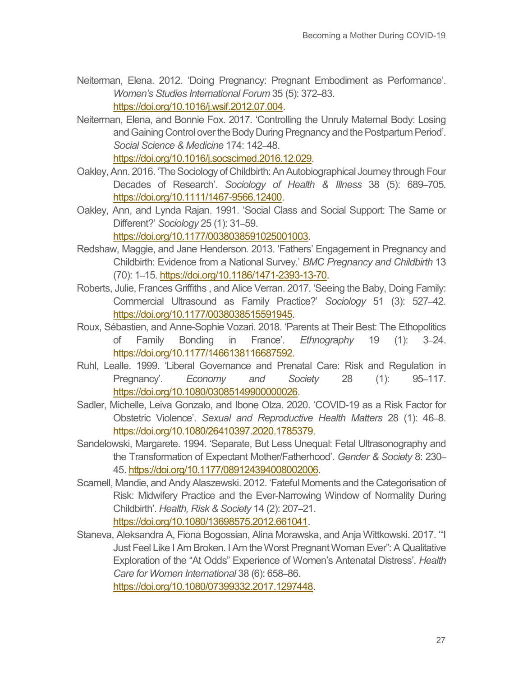- Neiterman, Elena. 2012. 'Doing Pregnancy: Pregnant Embodiment as Performance'. *Women's Studies International Forum* 35 (5): 372–83. [https://doi.org/10.1016/j.wsif.2012.07.004.](https://doi.org/10.1016/j.wsif.2012.07.004)
- Neiterman, Elena, and Bonnie Fox. 2017. 'Controlling the Unruly Maternal Body: Losing and Gaining Control over the Body During Pregnancy and the Postpartum Period'. *Social Science & Medicine* 174: 142–48. [https://doi.org/10.1016/j.socscimed.2016.12.029.](https://doi.org/10.1016/j.socscimed.2016.12.029)
- Oakley, Ann. 2016. 'The Sociology of Childbirth: An Autobiographical Journey through Four Decades of Research'. *Sociology of Health & Illness* 38 (5): 689–705. [https://doi.org/10.1111/1467-9566.12400.](https://doi.org/10.1111/1467-9566.12400)
- Oakley, Ann, and Lynda Rajan. 1991. 'Social Class and Social Support: The Same or Different?' *Sociology* 25 (1): 31–59.

[https://doi.org/10.1177/0038038591025001003.](https://doi.org/10.1177/0038038591025001003)

- Redshaw, Maggie, and Jane Henderson. 2013. 'Fathers' Engagement in Pregnancy and Childbirth: Evidence from a National Survey.' *BMC Pregnancy and Childbirth* 13 (70): 1–15. [https://doi.org/10.1186/1471-2393-13-70.](https://doi.org/10.1186/1471-2393-13-70)
- Roberts, Julie, Frances Griffiths , and Alice Verran. 2017. 'Seeing the Baby, Doing Family: Commercial Ultrasound as Family Practice?' *Sociology* 51 (3): 527–42. [https://doi.org/10.1177/0038038515591945.](https://doi.org/10.1177/0038038515591945)
- Roux, Sébastien, and Anne-Sophie Vozari. 2018. 'Parents at Their Best: The Ethopolitics of Family Bonding in France'. *Ethnography* 19 (1): 3–24. [https://doi.org/10.1177/1466138116687592.](https://doi.org/10.1177/1466138116687592)
- Ruhl, Lealle. 1999. 'Liberal Governance and Prenatal Care: Risk and Regulation in Pregnancy'. *Economy and Society* 28 (1): 95–117. [https://doi.org/10.1080/03085149900000026.](https://doi.org/10.1080/03085149900000026)
- Sadler, Michelle, Leiva Gonzalo, and Ibone Olza. 2020. 'COVID-19 as a Risk Factor for Obstetric Violence'. *Sexual and Reproductive Health Matters* 28 (1): 46–8. [https://doi.org/10.1080/26410397.2020.1785379.](https://doi.org/10.1080/26410397.2020.1785379)
- Sandelowski, Margarete. 1994. 'Separate, But Less Unequal: Fetal Ultrasonography and the Transformation of Expectant Mother/Fatherhood'. *Gender & Society* 8: 230– 45[. https://doi.org/10.1177/089124394008002006.](https://doi.org/10.1177/089124394008002006)
- Scamell, Mandie, and Andy Alaszewski. 2012. 'Fateful Moments and the Categorisation of Risk: Midwifery Practice and the Ever-Narrowing Window of Normality During Childbirth'. *Health, Risk & Society* 14 (2): 207–21. [https://doi.org/10.1080/13698575.2012.661041.](https://doi.org/10.1080/13698575.2012.661041)
- Staneva, Aleksandra A, Fiona Bogossian, Alina Morawska, and Anja Wittkowski. 2017. '"I Just Feel Like I Am Broken. I Am the Worst Pregnant Woman Ever": A Qualitative Exploration of the "At Odds" Experience of Women's Antenatal Distress'. *Health Care for Women International* 38 (6): 658–86.

[https://doi.org/10.1080/07399332.2017.1297448.](https://doi.org/10.1080/07399332.2017.1297448)